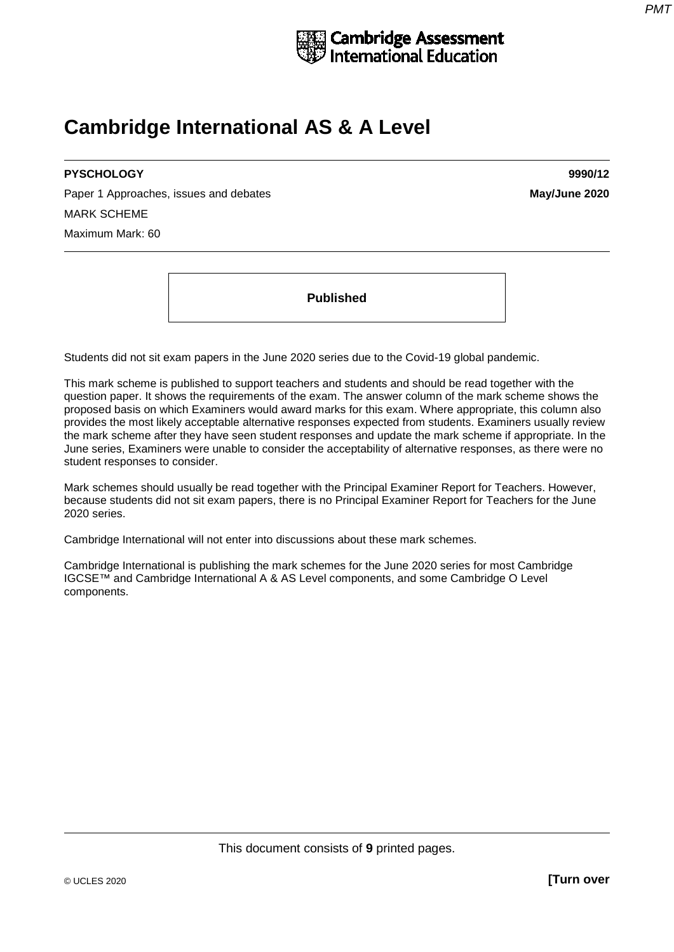

# **Cambridge International AS & A Level**

## **PYSCHOLOGY 9990/12**

Paper 1 Approaches, issues and debates **May/June 2020** MARK SCHEME Maximum Mark: 60

**Published**

Students did not sit exam papers in the June 2020 series due to the Covid-19 global pandemic.

This mark scheme is published to support teachers and students and should be read together with the question paper. It shows the requirements of the exam. The answer column of the mark scheme shows the proposed basis on which Examiners would award marks for this exam. Where appropriate, this column also provides the most likely acceptable alternative responses expected from students. Examiners usually review the mark scheme after they have seen student responses and update the mark scheme if appropriate. In the June series, Examiners were unable to consider the acceptability of alternative responses, as there were no student responses to consider.

Mark schemes should usually be read together with the Principal Examiner Report for Teachers. However, because students did not sit exam papers, there is no Principal Examiner Report for Teachers for the June 2020 series.

Cambridge International will not enter into discussions about these mark schemes.

Cambridge International is publishing the mark schemes for the June 2020 series for most Cambridge IGCSE™ and Cambridge International A & AS Level components, and some Cambridge O Level components.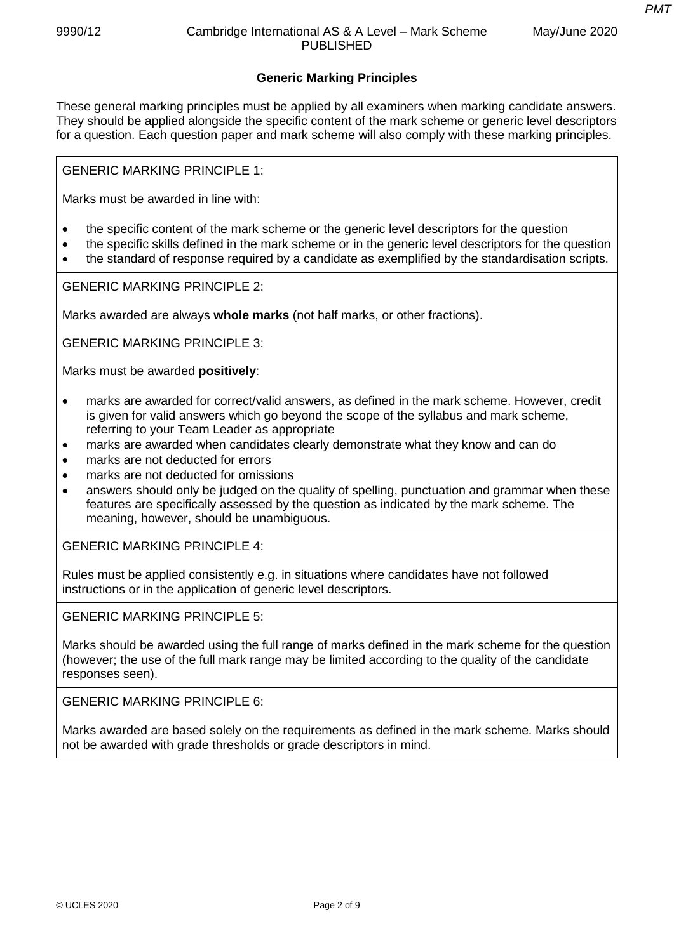*PMT*

### **Generic Marking Principles**

These general marking principles must be applied by all examiners when marking candidate answers. They should be applied alongside the specific content of the mark scheme or generic level descriptors for a question. Each question paper and mark scheme will also comply with these marking principles.

GENERIC MARKING PRINCIPLE 1:

Marks must be awarded in line with:

- the specific content of the mark scheme or the generic level descriptors for the question
- the specific skills defined in the mark scheme or in the generic level descriptors for the question
- the standard of response required by a candidate as exemplified by the standardisation scripts.

GENERIC MARKING PRINCIPLE 2:

Marks awarded are always **whole marks** (not half marks, or other fractions).

GENERIC MARKING PRINCIPLE 3:

Marks must be awarded **positively**:

- marks are awarded for correct/valid answers, as defined in the mark scheme. However, credit is given for valid answers which go beyond the scope of the syllabus and mark scheme, referring to your Team Leader as appropriate
- marks are awarded when candidates clearly demonstrate what they know and can do
- marks are not deducted for errors
- marks are not deducted for omissions
- answers should only be judged on the quality of spelling, punctuation and grammar when these features are specifically assessed by the question as indicated by the mark scheme. The meaning, however, should be unambiguous.

GENERIC MARKING PRINCIPLE 4:

Rules must be applied consistently e.g. in situations where candidates have not followed instructions or in the application of generic level descriptors.

GENERIC MARKING PRINCIPLE 5:

Marks should be awarded using the full range of marks defined in the mark scheme for the question (however; the use of the full mark range may be limited according to the quality of the candidate responses seen).

GENERIC MARKING PRINCIPLE 6:

Marks awarded are based solely on the requirements as defined in the mark scheme. Marks should not be awarded with grade thresholds or grade descriptors in mind.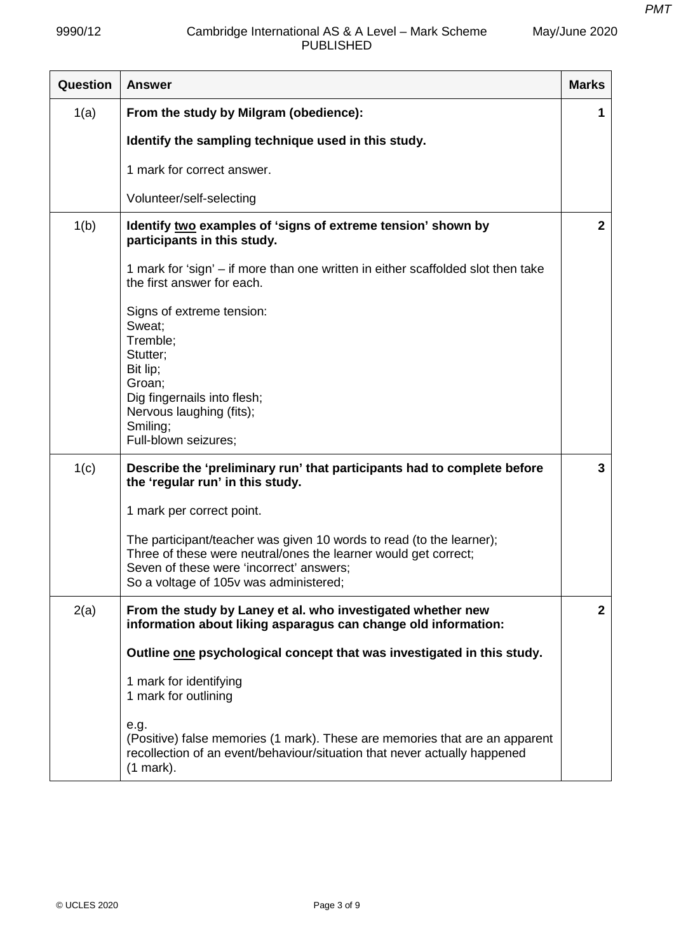May/June 2020

| Question | <b>Answer</b>                                                                                                                                                                                                                 | <b>Marks</b>   |
|----------|-------------------------------------------------------------------------------------------------------------------------------------------------------------------------------------------------------------------------------|----------------|
| 1(a)     | From the study by Milgram (obedience):                                                                                                                                                                                        | 1              |
|          | Identify the sampling technique used in this study.                                                                                                                                                                           |                |
|          | 1 mark for correct answer.                                                                                                                                                                                                    |                |
|          | Volunteer/self-selecting                                                                                                                                                                                                      |                |
| 1(b)     | Identify two examples of 'signs of extreme tension' shown by<br>participants in this study.                                                                                                                                   | $\mathbf{2}$   |
|          | 1 mark for 'sign' - if more than one written in either scaffolded slot then take<br>the first answer for each.                                                                                                                |                |
|          | Signs of extreme tension:<br>Sweat:<br>Tremble;<br>Stutter;<br>Bit lip;<br>Groan;<br>Dig fingernails into flesh;<br>Nervous laughing (fits);<br>Smiling;<br>Full-blown seizures;                                              |                |
| 1(c)     | Describe the 'preliminary run' that participants had to complete before<br>the 'regular run' in this study.                                                                                                                   | 3              |
|          | 1 mark per correct point.                                                                                                                                                                                                     |                |
|          | The participant/teacher was given 10 words to read (to the learner);<br>Three of these were neutral/ones the learner would get correct;<br>Seven of these were 'incorrect' answers;<br>So a voltage of 105v was administered; |                |
| 2(a)     | From the study by Laney et al. who investigated whether new<br>information about liking asparagus can change old information:                                                                                                 | $\overline{2}$ |
|          | Outline one psychological concept that was investigated in this study.                                                                                                                                                        |                |
|          | 1 mark for identifying<br>1 mark for outlining                                                                                                                                                                                |                |
|          | e.g.<br>(Positive) false memories (1 mark). These are memories that are an apparent<br>recollection of an event/behaviour/situation that never actually happened<br>$(1 mark)$ .                                              |                |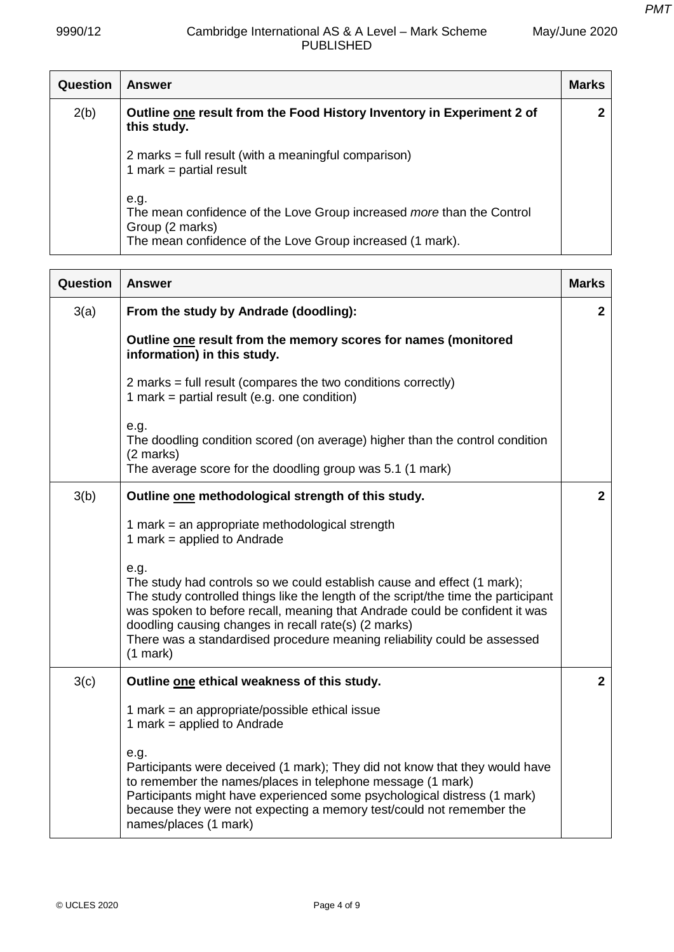May/June 2020

| <b>Question</b> | <b>Answer</b>                                                                                                                                                 | <b>Marks</b> |
|-----------------|---------------------------------------------------------------------------------------------------------------------------------------------------------------|--------------|
| 2(b)            | Outline one result from the Food History Inventory in Experiment 2 of<br>this study.                                                                          |              |
|                 | 2 marks = full result (with a meaningful comparison)<br>1 mark = partial result                                                                               |              |
|                 | e.g.<br>The mean confidence of the Love Group increased more than the Control<br>Group (2 marks)<br>The mean confidence of the Love Group increased (1 mark). |              |

| Question | <b>Answer</b>                                                                                                                                                                                                                                                                                                                                                                                          | <b>Marks</b>   |
|----------|--------------------------------------------------------------------------------------------------------------------------------------------------------------------------------------------------------------------------------------------------------------------------------------------------------------------------------------------------------------------------------------------------------|----------------|
| 3(a)     | From the study by Andrade (doodling):                                                                                                                                                                                                                                                                                                                                                                  | $\mathbf{2}$   |
|          | Outline one result from the memory scores for names (monitored<br>information) in this study.                                                                                                                                                                                                                                                                                                          |                |
|          | 2 marks = full result (compares the two conditions correctly)<br>1 mark = partial result (e.g. one condition)                                                                                                                                                                                                                                                                                          |                |
|          | e.g.<br>The doodling condition scored (on average) higher than the control condition<br>(2 marks)                                                                                                                                                                                                                                                                                                      |                |
|          | The average score for the doodling group was 5.1 (1 mark)                                                                                                                                                                                                                                                                                                                                              |                |
| 3(b)     | Outline one methodological strength of this study.                                                                                                                                                                                                                                                                                                                                                     | $\overline{2}$ |
|          | 1 mark = an appropriate methodological strength<br>1 mark = applied to Andrade                                                                                                                                                                                                                                                                                                                         |                |
|          | e.g.<br>The study had controls so we could establish cause and effect (1 mark);<br>The study controlled things like the length of the script/the time the participant<br>was spoken to before recall, meaning that Andrade could be confident it was<br>doodling causing changes in recall rate(s) (2 marks)<br>There was a standardised procedure meaning reliability could be assessed<br>$(1$ mark) |                |
| 3(c)     | Outline one ethical weakness of this study.                                                                                                                                                                                                                                                                                                                                                            | $\overline{2}$ |
|          | 1 mark = an appropriate/possible ethical issue<br>1 mark = applied to Andrade                                                                                                                                                                                                                                                                                                                          |                |
|          | e.g.<br>Participants were deceived (1 mark); They did not know that they would have<br>to remember the names/places in telephone message (1 mark)<br>Participants might have experienced some psychological distress (1 mark)<br>because they were not expecting a memory test/could not remember the<br>names/places (1 mark)                                                                         |                |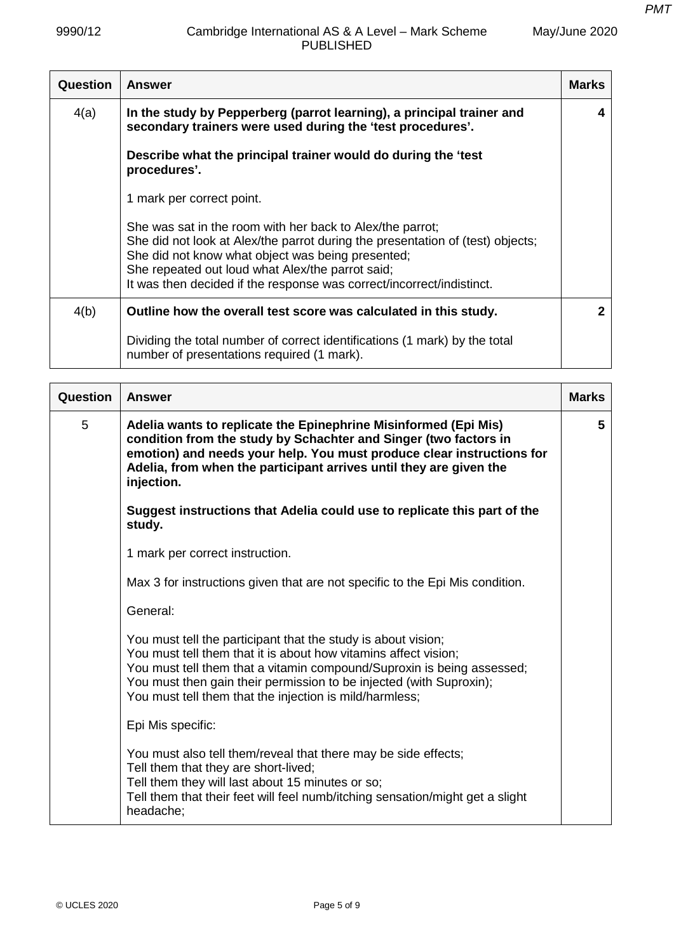| May/June 2020 |  |
|---------------|--|
|---------------|--|

| <b>Question</b> | <b>Answer</b>                                                                                                                                                                                                                                                                                                                 | <b>Marks</b> |
|-----------------|-------------------------------------------------------------------------------------------------------------------------------------------------------------------------------------------------------------------------------------------------------------------------------------------------------------------------------|--------------|
| 4(a)            | In the study by Pepperberg (parrot learning), a principal trainer and<br>secondary trainers were used during the 'test procedures'.                                                                                                                                                                                           |              |
|                 | Describe what the principal trainer would do during the 'test<br>procedures'.                                                                                                                                                                                                                                                 |              |
|                 | 1 mark per correct point.                                                                                                                                                                                                                                                                                                     |              |
|                 | She was sat in the room with her back to Alex/the parrot;<br>She did not look at Alex/the parrot during the presentation of (test) objects;<br>She did not know what object was being presented;<br>She repeated out loud what Alex/the parrot said;<br>It was then decided if the response was correct/incorrect/indistinct. |              |
| 4(b)            | Outline how the overall test score was calculated in this study.                                                                                                                                                                                                                                                              | 2            |
|                 | Dividing the total number of correct identifications (1 mark) by the total<br>number of presentations required (1 mark).                                                                                                                                                                                                      |              |

| Question | <b>Answer</b>                                                                                                                                                                                                                                                                                                                                | <b>Marks</b> |
|----------|----------------------------------------------------------------------------------------------------------------------------------------------------------------------------------------------------------------------------------------------------------------------------------------------------------------------------------------------|--------------|
| 5        | Adelia wants to replicate the Epinephrine Misinformed (Epi Mis)<br>condition from the study by Schachter and Singer (two factors in<br>emotion) and needs your help. You must produce clear instructions for<br>Adelia, from when the participant arrives until they are given the<br>injection.                                             | 5            |
|          | Suggest instructions that Adelia could use to replicate this part of the<br>study.                                                                                                                                                                                                                                                           |              |
|          | 1 mark per correct instruction.                                                                                                                                                                                                                                                                                                              |              |
|          | Max 3 for instructions given that are not specific to the Epi Mis condition.                                                                                                                                                                                                                                                                 |              |
|          | General:                                                                                                                                                                                                                                                                                                                                     |              |
|          | You must tell the participant that the study is about vision;<br>You must tell them that it is about how vitamins affect vision;<br>You must tell them that a vitamin compound/Suproxin is being assessed;<br>You must then gain their permission to be injected (with Suproxin);<br>You must tell them that the injection is mild/harmless; |              |
|          | Epi Mis specific:                                                                                                                                                                                                                                                                                                                            |              |
|          | You must also tell them/reveal that there may be side effects;<br>Tell them that they are short-lived;<br>Tell them they will last about 15 minutes or so;<br>Tell them that their feet will feel numb/itching sensation/might get a slight<br>headache;                                                                                     |              |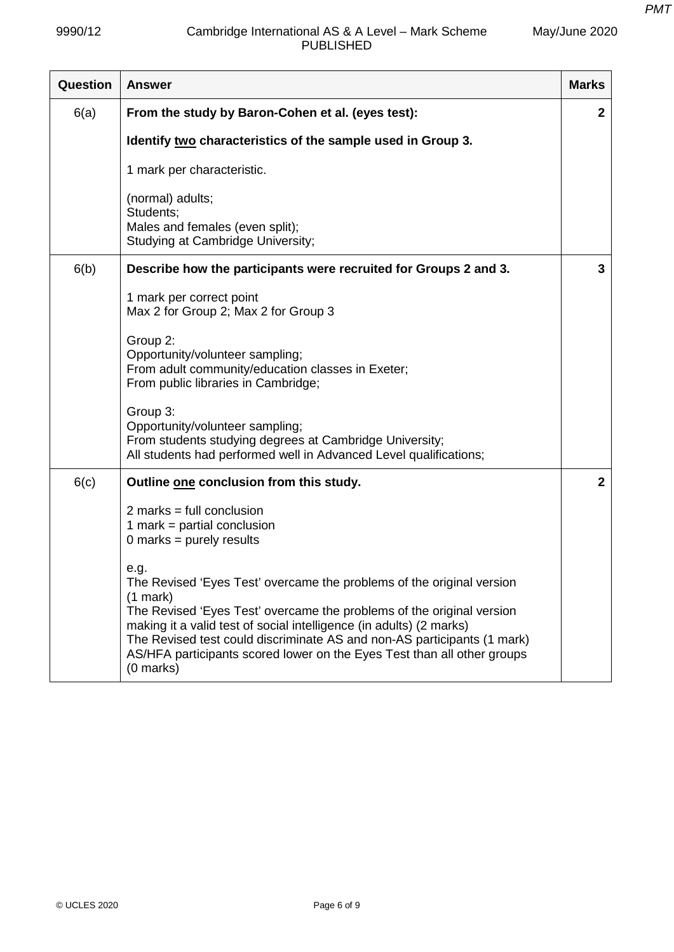| May/June 2020 |  |
|---------------|--|
|---------------|--|

| <b>Question</b> | <b>Answer</b>                                                                                                                                                                                                                               | <b>Marks</b> |
|-----------------|---------------------------------------------------------------------------------------------------------------------------------------------------------------------------------------------------------------------------------------------|--------------|
| 6(a)            | From the study by Baron-Cohen et al. (eyes test):                                                                                                                                                                                           | $\mathbf{2}$ |
|                 | Identify two characteristics of the sample used in Group 3.                                                                                                                                                                                 |              |
|                 | 1 mark per characteristic.                                                                                                                                                                                                                  |              |
|                 | (normal) adults;<br>Students;<br>Males and females (even split);<br>Studying at Cambridge University;                                                                                                                                       |              |
| 6(b)            | Describe how the participants were recruited for Groups 2 and 3.                                                                                                                                                                            | 3            |
|                 | 1 mark per correct point<br>Max 2 for Group 2; Max 2 for Group 3                                                                                                                                                                            |              |
|                 | Group 2:<br>Opportunity/volunteer sampling;<br>From adult community/education classes in Exeter;<br>From public libraries in Cambridge;                                                                                                     |              |
|                 | Group 3:<br>Opportunity/volunteer sampling;<br>From students studying degrees at Cambridge University;<br>All students had performed well in Advanced Level qualifications;                                                                 |              |
| 6(c)            | Outline one conclusion from this study.                                                                                                                                                                                                     | $\mathbf{2}$ |
|                 | $2$ marks = full conclusion<br>1 mark = partial conclusion<br>0 marks = $purely$ results                                                                                                                                                    |              |
|                 | e.g.<br>The Revised 'Eyes Test' overcame the problems of the original version<br>$(1$ mark)<br>The Revised 'Eyes Test' overcame the problems of the original version<br>making it a valid test of social intelligence (in adults) (2 marks) |              |
|                 | The Revised test could discriminate AS and non-AS participants (1 mark)<br>AS/HFA participants scored lower on the Eyes Test than all other groups<br>(0 marks)                                                                             |              |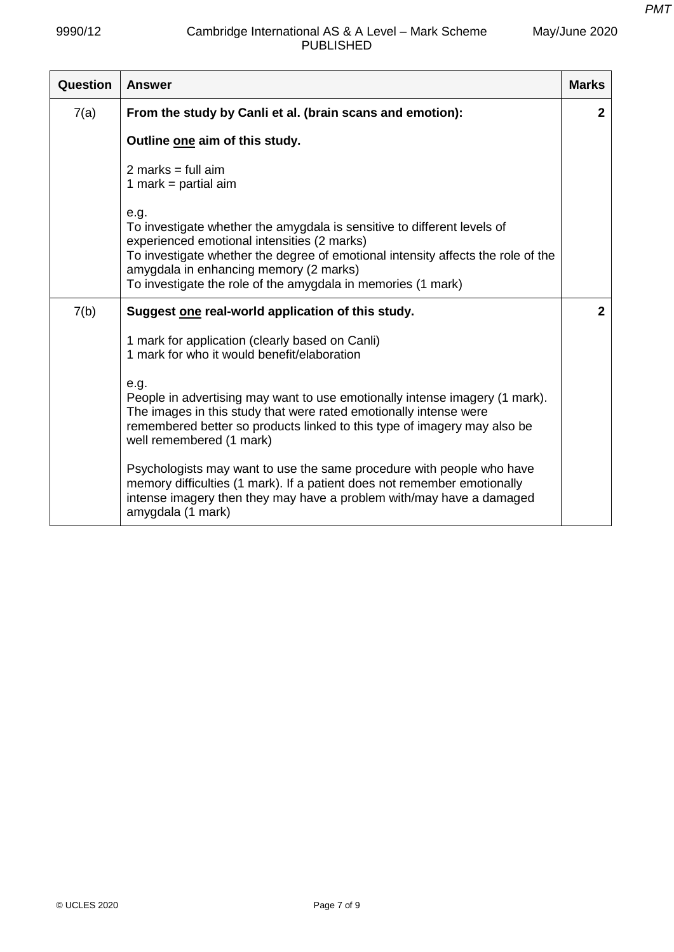*PMT*

| May/June 2020 |  |
|---------------|--|
|---------------|--|

| Question | <b>Answer</b>                                                                                                                                                                                                                                                                                                                | <b>Marks</b>   |
|----------|------------------------------------------------------------------------------------------------------------------------------------------------------------------------------------------------------------------------------------------------------------------------------------------------------------------------------|----------------|
| 7(a)     | From the study by Canli et al. (brain scans and emotion):                                                                                                                                                                                                                                                                    | $\mathbf{2}$   |
|          | Outline one aim of this study.                                                                                                                                                                                                                                                                                               |                |
|          | 2 marks = full $aim$<br>1 mark = partial aim                                                                                                                                                                                                                                                                                 |                |
|          | e.g.<br>To investigate whether the amygdala is sensitive to different levels of<br>experienced emotional intensities (2 marks)<br>To investigate whether the degree of emotional intensity affects the role of the<br>amygdala in enhancing memory (2 marks)<br>To investigate the role of the amygdala in memories (1 mark) |                |
| 7(b)     | Suggest one real-world application of this study.                                                                                                                                                                                                                                                                            | $\overline{2}$ |
|          | 1 mark for application (clearly based on Canli)<br>1 mark for who it would benefit/elaboration                                                                                                                                                                                                                               |                |
|          | e.g.<br>People in advertising may want to use emotionally intense imagery (1 mark).<br>The images in this study that were rated emotionally intense were<br>remembered better so products linked to this type of imagery may also be<br>well remembered (1 mark)                                                             |                |
|          | Psychologists may want to use the same procedure with people who have<br>memory difficulties (1 mark). If a patient does not remember emotionally<br>intense imagery then they may have a problem with/may have a damaged<br>amygdala (1 mark)                                                                               |                |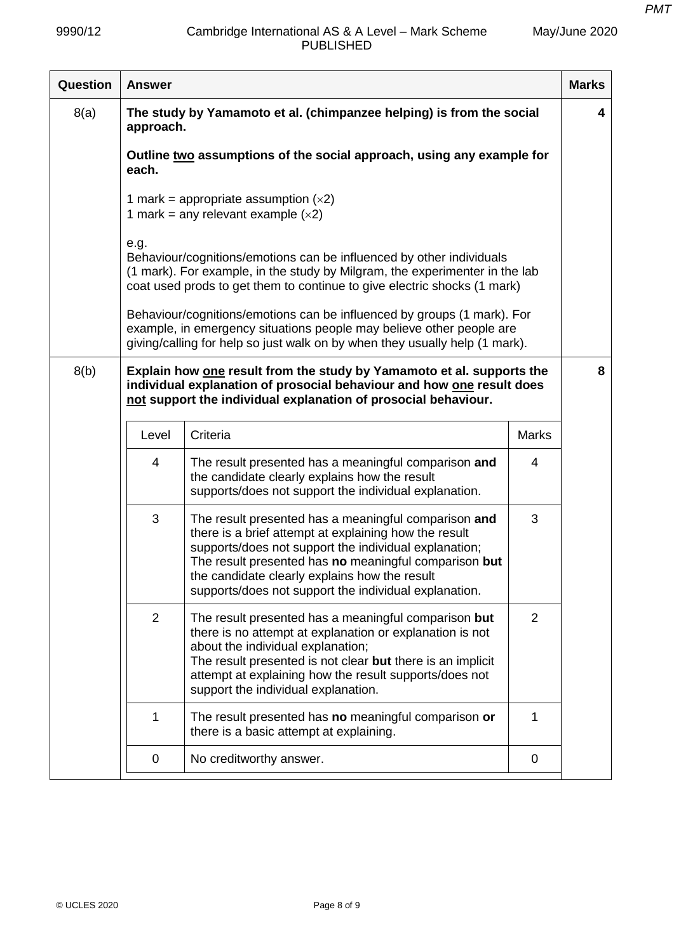May/June 2020

| Question | <b>Answer</b> |                                                                                                                                                                                                                                                                                                                                           |                | <b>Marks</b> |
|----------|---------------|-------------------------------------------------------------------------------------------------------------------------------------------------------------------------------------------------------------------------------------------------------------------------------------------------------------------------------------------|----------------|--------------|
| 8(a)     | approach.     | The study by Yamamoto et al. (chimpanzee helping) is from the social                                                                                                                                                                                                                                                                      |                | 4            |
|          | each.         | Outline two assumptions of the social approach, using any example for                                                                                                                                                                                                                                                                     |                |              |
|          |               | 1 mark = appropriate assumption $(x2)$<br>1 mark = any relevant example $(x2)$                                                                                                                                                                                                                                                            |                |              |
|          | e.g.          | Behaviour/cognitions/emotions can be influenced by other individuals<br>(1 mark). For example, in the study by Milgram, the experimenter in the lab<br>coat used prods to get them to continue to give electric shocks (1 mark)                                                                                                           |                |              |
|          |               | Behaviour/cognitions/emotions can be influenced by groups (1 mark). For<br>example, in emergency situations people may believe other people are<br>giving/calling for help so just walk on by when they usually help (1 mark).                                                                                                            |                |              |
| 8(b)     |               | Explain how one result from the study by Yamamoto et al. supports the<br>individual explanation of prosocial behaviour and how one result does<br>not support the individual explanation of prosocial behaviour.                                                                                                                          |                | 8            |
|          | Level         | Criteria                                                                                                                                                                                                                                                                                                                                  | <b>Marks</b>   |              |
|          | 4             | The result presented has a meaningful comparison and<br>the candidate clearly explains how the result<br>supports/does not support the individual explanation.                                                                                                                                                                            | 4              |              |
|          | 3             | The result presented has a meaningful comparison and<br>there is a brief attempt at explaining how the result<br>supports/does not support the individual explanation;<br>The result presented has no meaningful comparison but<br>the candidate clearly explains how the result<br>supports/does not support the individual explanation. | 3              |              |
|          | 2             | The result presented has a meaningful comparison but<br>there is no attempt at explanation or explanation is not<br>about the individual explanation;<br>The result presented is not clear but there is an implicit<br>attempt at explaining how the result supports/does not<br>support the individual explanation.                      | $\overline{2}$ |              |
|          | 1             | The result presented has no meaningful comparison or<br>there is a basic attempt at explaining.                                                                                                                                                                                                                                           | 1              |              |
|          | 0             | No creditworthy answer.                                                                                                                                                                                                                                                                                                                   | 0              |              |